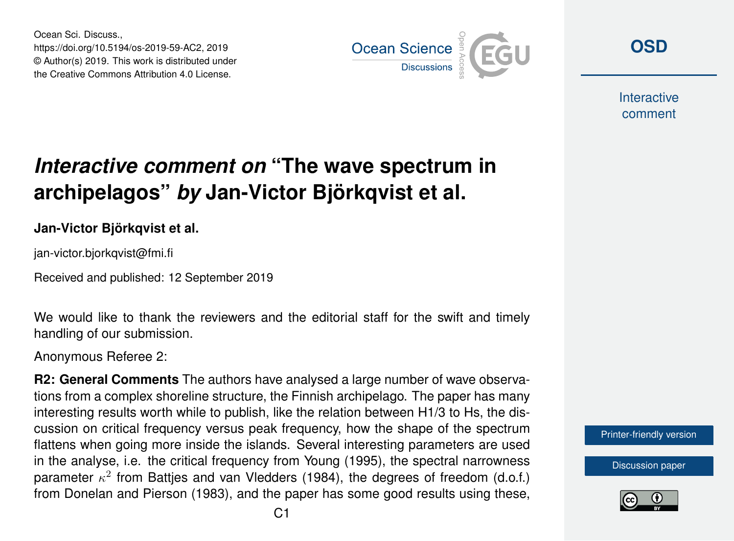Ocean Sci. Discuss., https://doi.org/10.5194/os-2019-59-AC2, 2019 © Author(s) 2019. This work is distributed under the Creative Commons Attribution 4.0 License.



**[OSD](https://www.ocean-sci-discuss.net/)**

**Interactive** comment

## *Interactive comment on* **"The wave spectrum in archipelagos"** *by* **Jan-Victor Björkqvist et al.**

**Jan-Victor Björkqvist et al.**

jan-victor.bjorkqvist@fmi.fi

Received and published: 12 September 2019

We would like to thank the reviewers and the editorial staff for the swift and timely handling of our submission.

Anonymous Referee 2:

**R2: General Comments** The authors have analysed a large number of wave observations from a complex shoreline structure, the Finnish archipelago. The paper has many interesting results worth while to publish, like the relation between H1/3 to Hs, the discussion on critical frequency versus peak frequency, how the shape of the spectrum flattens when going more inside the islands. Several interesting parameters are used in the analyse, i.e. the critical frequency from Young (1995), the spectral narrowness parameter  $\kappa^2$  from Battjes and van Vledders (1984), the degrees of freedom (d.o.f.) from Donelan and Pierson (1983), and the paper has some good results using these,



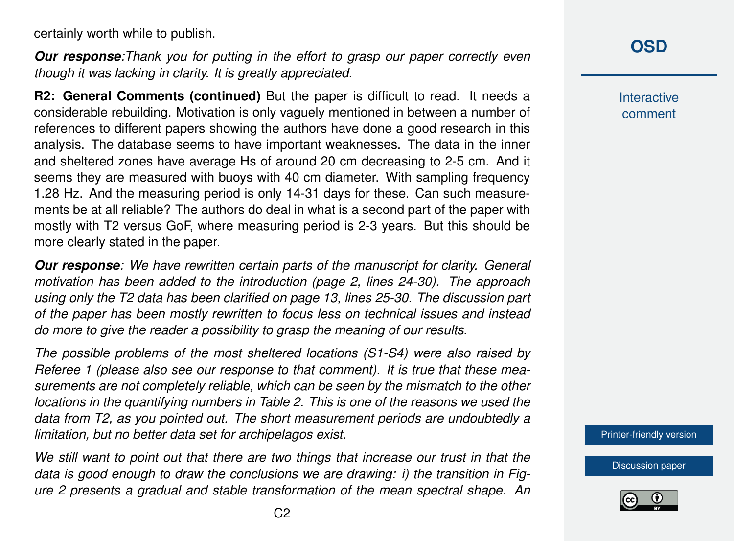certainly worth while to publish.

*Our response:Thank you for putting in the effort to grasp our paper correctly even though it was lacking in clarity. It is greatly appreciated.*

**R2: General Comments (continued)** But the paper is difficult to read. It needs a considerable rebuilding. Motivation is only vaguely mentioned in between a number of references to different papers showing the authors have done a good research in this analysis. The database seems to have important weaknesses. The data in the inner and sheltered zones have average Hs of around 20 cm decreasing to 2-5 cm. And it seems they are measured with buoys with 40 cm diameter. With sampling frequency 1.28 Hz. And the measuring period is only 14-31 days for these. Can such measurements be at all reliable? The authors do deal in what is a second part of the paper with mostly with T2 versus GoF, where measuring period is 2-3 years. But this should be more clearly stated in the paper.

*Our response: We have rewritten certain parts of the manuscript for clarity. General motivation has been added to the introduction (page 2, lines 24-30). The approach using only the T2 data has been clarified on page 13, lines 25-30. The discussion part of the paper has been mostly rewritten to focus less on technical issues and instead do more to give the reader a possibility to grasp the meaning of our results.*

*The possible problems of the most sheltered locations (S1-S4) were also raised by Referee 1 (please also see our response to that comment). It is true that these measurements are not completely reliable, which can be seen by the mismatch to the other locations in the quantifying numbers in Table 2. This is one of the reasons we used the data from T2, as you pointed out. The short measurement periods are undoubtedly a limitation, but no better data set for archipelagos exist.*

*We still want to point out that there are two things that increase our trust in that the data is good enough to draw the conclusions we are drawing: i) the transition in Figure 2 presents a gradual and stable transformation of the mean spectral shape. An*

**[OSD](https://www.ocean-sci-discuss.net/)**

**Interactive** comment

[Printer-friendly version](https://www.ocean-sci-discuss.net/os-2019-59/os-2019-59-AC2-print.pdf)

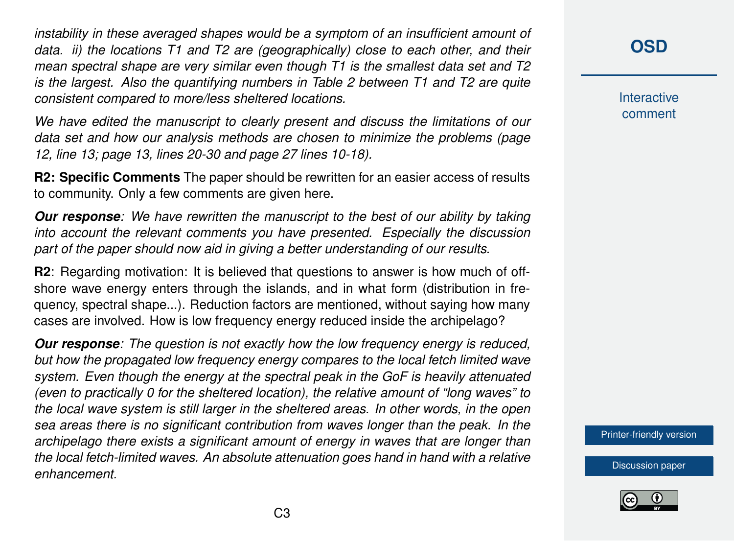*instability in these averaged shapes would be a symptom of an insufficient amount of data. ii) the locations T1 and T2 are (geographically) close to each other, and their mean spectral shape are very similar even though T1 is the smallest data set and T2 is the largest. Also the quantifying numbers in Table 2 between T1 and T2 are quite consistent compared to more/less sheltered locations.*

*We have edited the manuscript to clearly present and discuss the limitations of our data set and how our analysis methods are chosen to minimize the problems (page 12, line 13; page 13, lines 20-30 and page 27 lines 10-18).*

**R2: Specific Comments** The paper should be rewritten for an easier access of results to community. Only a few comments are given here.

*Our response: We have rewritten the manuscript to the best of our ability by taking into account the relevant comments you have presented. Especially the discussion part of the paper should now aid in giving a better understanding of our results.*

**R2**: Regarding motivation: It is believed that questions to answer is how much of offshore wave energy enters through the islands, and in what form (distribution in frequency, spectral shape...). Reduction factors are mentioned, without saying how many cases are involved. How is low frequency energy reduced inside the archipelago?

*Our response: The question is not exactly how the low frequency energy is reduced, but how the propagated low frequency energy compares to the local fetch limited wave system. Even though the energy at the spectral peak in the GoF is heavily attenuated (even to practically 0 for the sheltered location), the relative amount of "long waves" to the local wave system is still larger in the sheltered areas. In other words, in the open sea areas there is no significant contribution from waves longer than the peak. In the archipelago there exists a significant amount of energy in waves that are longer than the local fetch-limited waves. An absolute attenuation goes hand in hand with a relative enhancement.*

**[OSD](https://www.ocean-sci-discuss.net/)**

**Interactive** comment

[Printer-friendly version](https://www.ocean-sci-discuss.net/os-2019-59/os-2019-59-AC2-print.pdf)

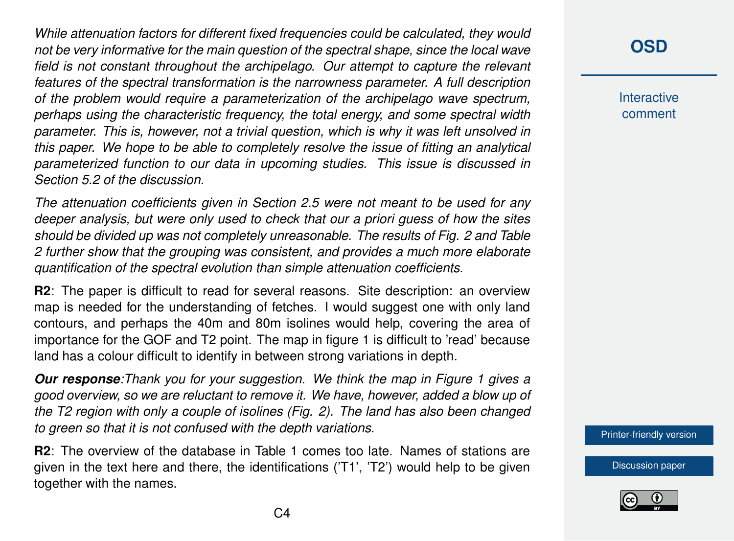*While attenuation factors for different fixed frequencies could be calculated, they would not be very informative for the main question of the spectral shape, since the local wave field is not constant throughout the archipelago. Our attempt to capture the relevant features of the spectral transformation is the narrowness parameter. A full description of the problem would require a parameterization of the archipelago wave spectrum, perhaps using the characteristic frequency, the total energy, and some spectral width parameter. This is, however, not a trivial question, which is why it was left unsolved in this paper. We hope to be able to completely resolve the issue of fitting an analytical parameterized function to our data in upcoming studies. This issue is discussed in Section 5.2 of the discussion.*

*The attenuation coefficients given in Section 2.5 were not meant to be used for any deeper analysis, but were only used to check that our a priori guess of how the sites should be divided up was not completely unreasonable. The results of Fig. 2 and Table 2 further show that the grouping was consistent, and provides a much more elaborate quantification of the spectral evolution than simple attenuation coefficients.*

**R2**: The paper is difficult to read for several reasons. Site description: an overview map is needed for the understanding of fetches. I would suggest one with only land contours, and perhaps the 40m and 80m isolines would help, covering the area of importance for the GOF and T2 point. The map in figure 1 is difficult to 'read' because land has a colour difficult to identify in between strong variations in depth.

*Our response:Thank you for your suggestion. We think the map in Figure 1 gives a good overview, so we are reluctant to remove it. We have, however, added a blow up of the T2 region with only a couple of isolines (Fig. 2). The land has also been changed to green so that it is not confused with the depth variations.*

**R2**: The overview of the database in Table 1 comes too late. Names of stations are given in the text here and there, the identifications ('T1', 'T2') would help to be given together with the names.

**Interactive** comment

[Printer-friendly version](https://www.ocean-sci-discuss.net/os-2019-59/os-2019-59-AC2-print.pdf)

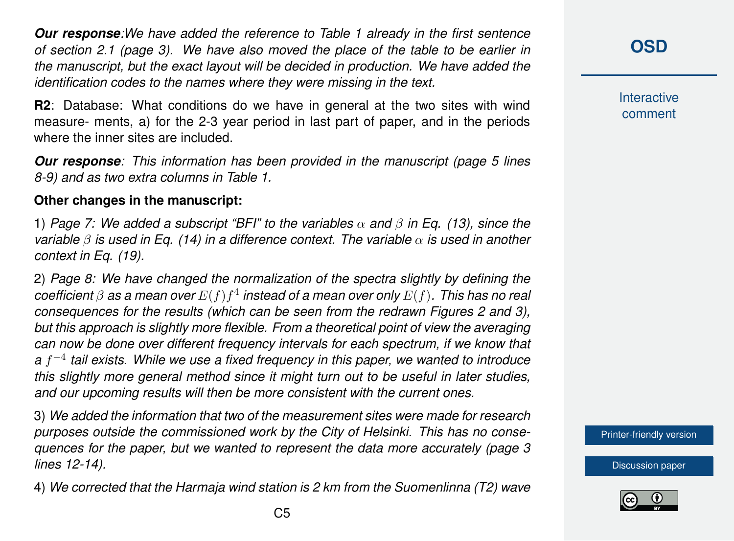*Our response:We have added the reference to Table 1 already in the first sentence of section 2.1 (page 3). We have also moved the place of the table to be earlier in the manuscript, but the exact layout will be decided in production. We have added the identification codes to the names where they were missing in the text.*

**R2**: Database: What conditions do we have in general at the two sites with wind measure- ments, a) for the 2-3 year period in last part of paper, and in the periods where the inner sites are included.

*Our response: This information has been provided in the manuscript (page 5 lines 8-9) and as two extra columns in Table 1.*

## **Other changes in the manuscript:**

1) *Page 7: We added a subscript "BFI" to the variables* α *and* β *in Eq. (13), since the variable* β *is used in Eq. (14) in a difference context. The variable* α *is used in another context in Eq. (19).*

2) *Page 8: We have changed the normalization of the spectra slightly by defining the*  $\mathsf{coefficient}\,\beta$  as a mean over  $E(f)f^4$  instead of a mean over only  $E(f)$ . This has no real *consequences for the results (which can be seen from the redrawn Figures 2 and 3), but this approach is slightly more flexible. From a theoretical point of view the averaging can now be done over different frequency intervals for each spectrum, if we know that* a f<sup>-4</sup> tail exists. While we use a fixed frequency in this paper, we wanted to introduce *this slightly more general method since it might turn out to be useful in later studies, and our upcoming results will then be more consistent with the current ones.*

3) *We added the information that two of the measurement sites were made for research purposes outside the commissioned work by the City of Helsinki. This has no consequences for the paper, but we wanted to represent the data more accurately (page 3 lines 12-14).*

4) *We corrected that the Harmaja wind station is 2 km from the Suomenlinna (T2) wave*

**[OSD](https://www.ocean-sci-discuss.net/)**

**Interactive** comment

[Printer-friendly version](https://www.ocean-sci-discuss.net/os-2019-59/os-2019-59-AC2-print.pdf)